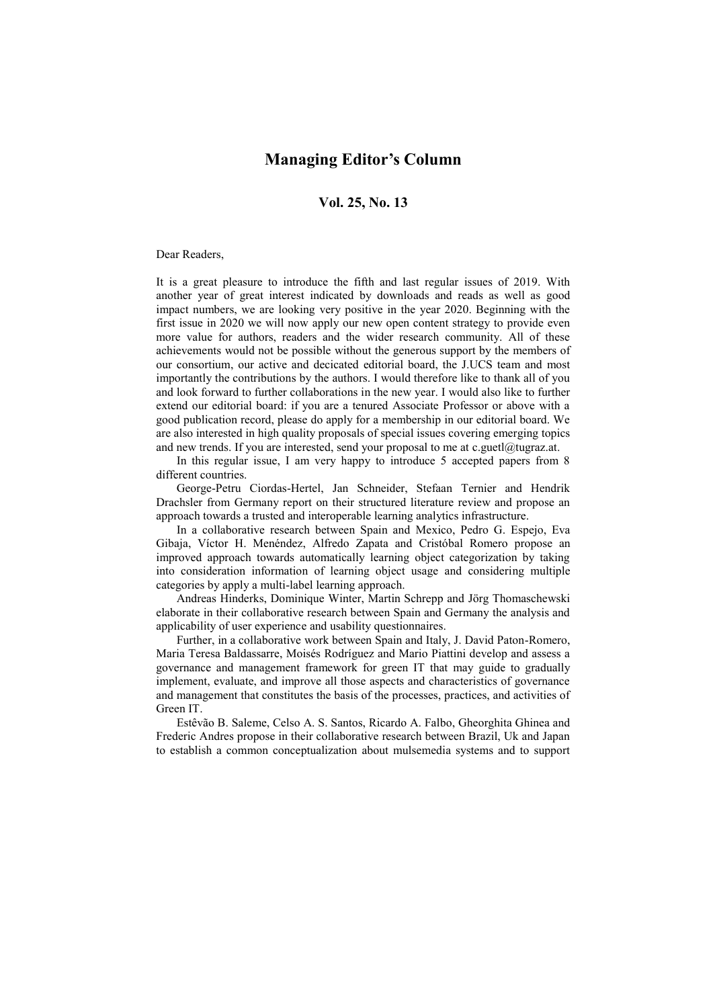## **Managing Editor's Column**

## **Vol. 25, No. 13**

## Dear Readers,

It is a great pleasure to introduce the fifth and last regular issues of 2019. With another year of great interest indicated by downloads and reads as well as good impact numbers, we are looking very positive in the year 2020. Beginning with the first issue in 2020 we will now apply our new open content strategy to provide even more value for authors, readers and the wider research community. All of these achievements would not be possible without the generous support by the members of our consortium, our active and decicated editorial board, the J.UCS team and most importantly the contributions by the authors. I would therefore like to thank all of you and look forward to further collaborations in the new year. I would also like to further extend our editorial board: if you are a tenured Associate Professor or above with a good publication record, please do apply for a membership in our editorial board. We are also interested in high quality proposals of special issues covering emerging topics and new trends. If you are interested, send your proposal to me at c.guetl $@$ tugraz.at.

In this regular issue, I am very happy to introduce 5 accepted papers from 8 different countries.

George-Petru Ciordas-Hertel, Jan Schneider, Stefaan Ternier and Hendrik Drachsler from Germany report on their structured literature review and propose an approach towards a trusted and interoperable learning analytics infrastructure.

In a collaborative research between Spain and Mexico, Pedro G. Espejo, Eva Gibaja, Víctor H. Menéndez, Alfredo Zapata and Cristóbal Romero propose an improved approach towards automatically learning object categorization by taking into consideration information of learning object usage and considering multiple categories by apply a multi-label learning approach.

Andreas Hinderks, Dominique Winter, Martin Schrepp and Jörg Thomaschewski elaborate in their collaborative research between Spain and Germany the analysis and applicability of user experience and usability questionnaires.

Further, in a collaborative work between Spain and Italy, J. David Paton-Romero, Maria Teresa Baldassarre, Moisés Rodríguez and Mario Piattini develop and assess a governance and management framework for green IT that may guide to gradually implement, evaluate, and improve all those aspects and characteristics of governance and management that constitutes the basis of the processes, practices, and activities of Green IT.

Estêvão B. Saleme, Celso A. S. Santos, Ricardo A. Falbo, Gheorghita Ghinea and Frederic Andres propose in their collaborative research between Brazil, Uk and Japan to establish a common conceptualization about mulsemedia systems and to support